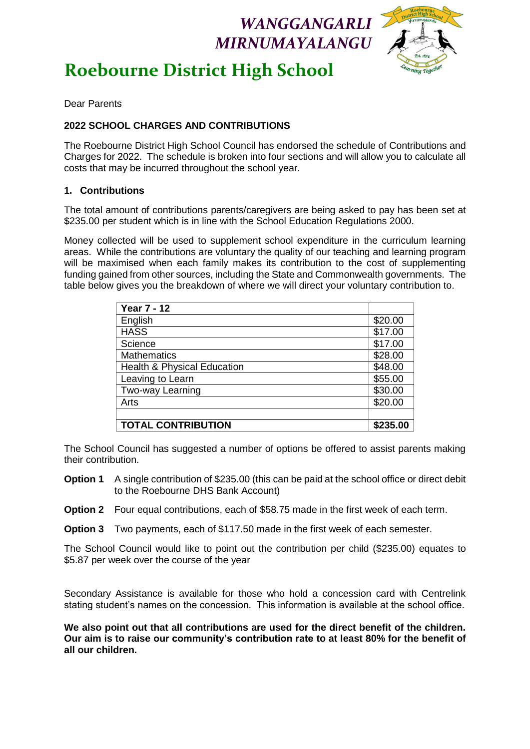## *WANGGANGARLI MIRNUMAYALANGU*



# **Roebourne District High School**

 $\overline{a}$ Dear Parents

#### **2022 SCHOOL CHARGES AND CONTRIBUTIONS**

The Roebourne District High School Council has endorsed the schedule of Contributions and Charges for 2022. The schedule is broken into four sections and will allow you to calculate all costs that may be incurred throughout the school year.

#### **1. Contributions**

The total amount of contributions parents/caregivers are being asked to pay has been set at \$235.00 per student which is in line with the School Education Regulations 2000.

Money collected will be used to supplement school expenditure in the curriculum learning areas. While the contributions are voluntary the quality of our teaching and learning program will be maximised when each family makes its contribution to the cost of supplementing funding gained from other sources, including the State and Commonwealth governments. The table below gives you the breakdown of where we will direct your voluntary contribution to.

| <b>Year 7 - 12</b>                     |          |
|----------------------------------------|----------|
| English                                | \$20.00  |
| <b>HASS</b>                            | \$17.00  |
| Science                                | \$17.00  |
| <b>Mathematics</b>                     | \$28.00  |
| <b>Health &amp; Physical Education</b> | \$48.00  |
| Leaving to Learn                       | \$55.00  |
| Two-way Learning                       | \$30.00  |
| Arts                                   | \$20.00  |
|                                        |          |
| <b>TOTAL CONTRIBUTION</b>              | \$235.00 |

The School Council has suggested a number of options be offered to assist parents making their contribution.

- **Option 1** A single contribution of \$235.00 (this can be paid at the school office or direct debit to the Roebourne DHS Bank Account)
- **Option 2** Four equal contributions, each of \$58.75 made in the first week of each term.

**Option 3** Two payments, each of \$117.50 made in the first week of each semester.

The School Council would like to point out the contribution per child (\$235.00) equates to \$5.87 per week over the course of the year

Secondary Assistance is available for those who hold a concession card with Centrelink stating student's names on the concession. This information is available at the school office.

**We also point out that all contributions are used for the direct benefit of the children. Our aim is to raise our community's contribution rate to at least 80% for the benefit of all our children.**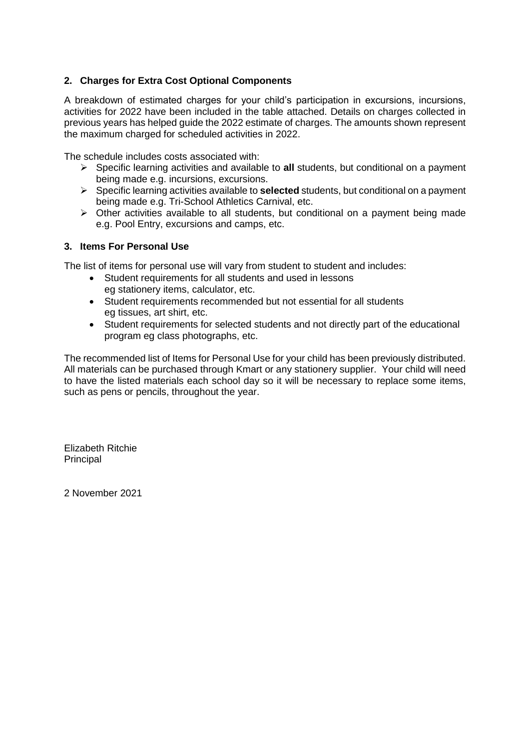#### **2. Charges for Extra Cost Optional Components**

A breakdown of estimated charges for your child's participation in excursions, incursions, activities for 2022 have been included in the table attached. Details on charges collected in previous years has helped guide the 2022 estimate of charges. The amounts shown represent the maximum charged for scheduled activities in 2022.

The schedule includes costs associated with:

- Specific learning activities and available to **all** students, but conditional on a payment being made e.g. incursions, excursions.
- Specific learning activities available to **selected** students, but conditional on a payment being made e.g. Tri-School Athletics Carnival, etc.
- $\triangleright$  Other activities available to all students, but conditional on a payment being made e.g. Pool Entry, excursions and camps, etc.

#### **3. Items For Personal Use**

The list of items for personal use will vary from student to student and includes:

- Student requirements for all students and used in lessons eg stationery items, calculator, etc.
- Student requirements recommended but not essential for all students eg tissues, art shirt, etc.
- Student requirements for selected students and not directly part of the educational program eg class photographs, etc.

The recommended list of Items for Personal Use for your child has been previously distributed. All materials can be purchased through Kmart or any stationery supplier. Your child will need to have the listed materials each school day so it will be necessary to replace some items, such as pens or pencils, throughout the year.

Elizabeth Ritchie Principal

2 November 2021